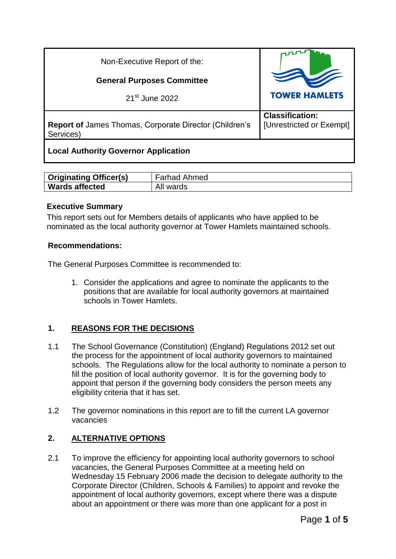| Non-Executive Report of the:                                               |                                                    |
|----------------------------------------------------------------------------|----------------------------------------------------|
| <b>General Purposes Committee</b>                                          |                                                    |
| 21 <sup>st</sup> June 2022                                                 | <b>TOWER HAMLETS</b>                               |
| <b>Report of James Thomas, Corporate Director (Children's</b><br>Services) | <b>Classification:</b><br>[Unrestricted or Exempt] |
| <b>Local Authority Governor Application</b>                                |                                                    |

| <b>Originating Officer(s)</b> | <b>Farhad Ahmed</b> |
|-------------------------------|---------------------|
| <b>Wards affected</b>         | All<br>wards        |

#### **Executive Summary**

This report sets out for Members details of applicants who have applied to be nominated as the local authority governor at Tower Hamlets maintained schools.

#### **Recommendations:**

The General Purposes Committee is recommended to:

1. Consider the applications and agree to nominate the applicants to the positions that are available for local authority governors at maintained schools in Tower Hamlets.

# **1. REASONS FOR THE DECISIONS**

- 1.1 The School Governance (Constitution) (England) Regulations 2012 set out the process for the appointment of local authority governors to maintained schools. The Regulations allow for the local authority to nominate a person to fill the position of local authority governor. It is for the governing body to appoint that person if the governing body considers the person meets any eligibility criteria that it has set.
- 1.2 The governor nominations in this report are to fill the current LA governor vacancies

## **2. ALTERNATIVE OPTIONS**

2.1 To improve the efficiency for appointing local authority governors to school vacancies, the General Purposes Committee at a meeting held on Wednesday 15 February 2006 made the decision to delegate authority to the Corporate Director (Children, Schools & Families) to appoint and revoke the appointment of local authority governors, except where there was a dispute about an appointment or there was more than one applicant for a post in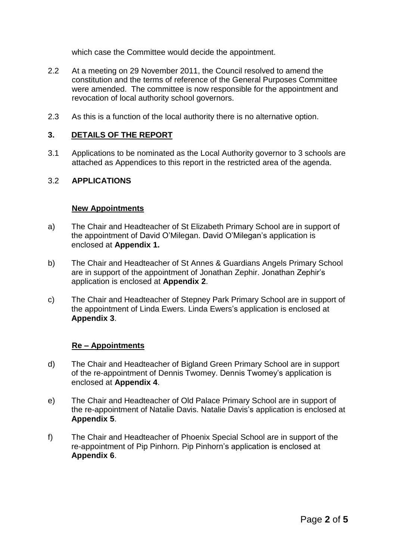which case the Committee would decide the appointment.

- 2.2 At a meeting on 29 November 2011, the Council resolved to amend the constitution and the terms of reference of the General Purposes Committee were amended. The committee is now responsible for the appointment and revocation of local authority school governors.
- 2.3 As this is a function of the local authority there is no alternative option.

#### **3. DETAILS OF THE REPORT**

3.1 Applications to be nominated as the Local Authority governor to 3 schools are attached as Appendices to this report in the restricted area of the agenda.

#### 3.2 **APPLICATIONS**

#### **New Appointments**

- a) The Chair and Headteacher of St Elizabeth Primary School are in support of the appointment of David O'Milegan. David O'Milegan's application is enclosed at **Appendix 1.**
- b) The Chair and Headteacher of St Annes & Guardians Angels Primary School are in support of the appointment of Jonathan Zephir. Jonathan Zephir's application is enclosed at **Appendix 2**.
- c) The Chair and Headteacher of Stepney Park Primary School are in support of the appointment of Linda Ewers. Linda Ewers's application is enclosed at **Appendix 3**.

#### **Re – Appointments**

- d) The Chair and Headteacher of Bigland Green Primary School are in support of the re-appointment of Dennis Twomey. Dennis Twomey's application is enclosed at **Appendix 4**.
- e) The Chair and Headteacher of Old Palace Primary School are in support of the re-appointment of Natalie Davis. Natalie Davis's application is enclosed at **Appendix 5**.
- f) The Chair and Headteacher of Phoenix Special School are in support of the re-appointment of Pip Pinhorn. Pip Pinhorn's application is enclosed at **Appendix 6**.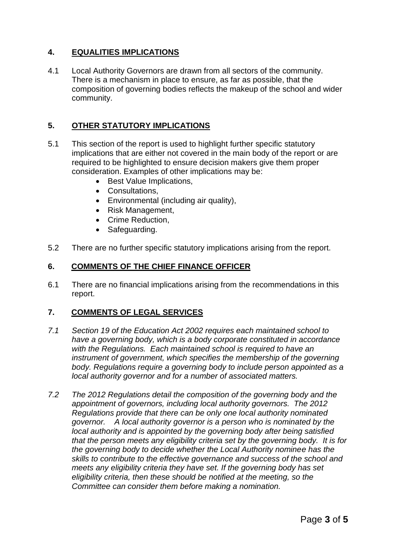## **4. EQUALITIES IMPLICATIONS**

4.1 Local Authority Governors are drawn from all sectors of the community. There is a mechanism in place to ensure, as far as possible, that the composition of governing bodies reflects the makeup of the school and wider community.

## **5. OTHER STATUTORY IMPLICATIONS**

- 5.1 This section of the report is used to highlight further specific statutory implications that are either not covered in the main body of the report or are required to be highlighted to ensure decision makers give them proper consideration. Examples of other implications may be:
	- Best Value Implications,
	- Consultations,
	- Environmental (including air quality),
	- Risk Management,
	- Crime Reduction,
	- Safeguarding.
- 5.2 There are no further specific statutory implications arising from the report.

#### **6. COMMENTS OF THE CHIEF FINANCE OFFICER**

6.1 There are no financial implications arising from the recommendations in this report.

#### **7. COMMENTS OF LEGAL SERVICES**

- *7.1 Section 19 of the Education Act 2002 requires each maintained school to have a governing body, which is a body corporate constituted in accordance with the Regulations. Each maintained school is required to have an instrument of government, which specifies the membership of the governing body. Regulations require a governing body to include person appointed as a local authority governor and for a number of associated matters.*
- *7.2 The 2012 Regulations detail the composition of the governing body and the appointment of governors, including local authority governors. The 2012 Regulations provide that there can be only one local authority nominated governor. A local authority governor is a person who is nominated by the local authority and is appointed by the governing body after being satisfied that the person meets any eligibility criteria set by the governing body. It is for the governing body to decide whether the Local Authority nominee has the skills to contribute to the effective governance and success of the school and meets any eligibility criteria they have set. If the governing body has set eligibility criteria, then these should be notified at the meeting, so the Committee can consider them before making a nomination.*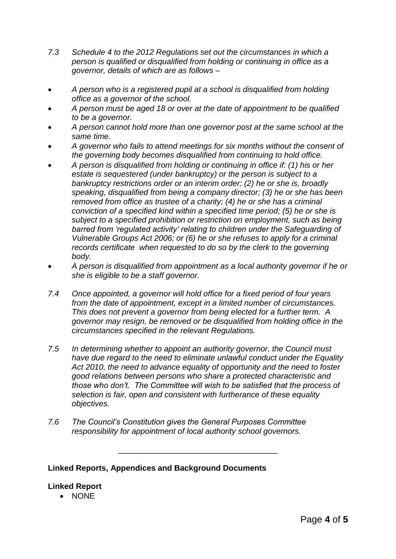- *7.3 Schedule 4 to the 2012 Regulations set out the circumstances in which a person is qualified or disqualified from holding or continuing in office as a governor, details of which are as follows –*
- *A person who is a registered pupil at a school is disqualified from holding office as a governor of the school.*
- *A person must be aged 18 or over at the date of appointment to be qualified to be a governor.*
- *A person cannot hold more than one governor post at the same school at the same time.*
- *A governor who fails to attend meetings for six months without the consent of the governing body becomes disqualified from continuing to hold office.*
- *A person is disqualified from holding or continuing in office if: (1) his or her estate is sequestered (under bankruptcy) or the person is subject to a bankruptcy restrictions order or an interim order; (2) he or she is, broadly speaking, disqualified from being a company director; (3) he or she has been removed from office as trustee of a charity; (4) he or she has a criminal conviction of a specified kind within a specified time period; (5) he or she is subject to a specified prohibition or restriction on employment, such as being barred from 'regulated activity' relating to children under the Safeguarding of Vulnerable Groups Act 2006; or (6) he or she refuses to apply for a criminal records certificate when requested to do so by the clerk to the governing body.*
- *A person is disqualified from appointment as a local authority governor if he or she is eligible to be a staff governor.*
- *7.4 Once appointed, a governor will hold office for a fixed period of four years from the date of appointment, except in a limited number of circumstances. This does not prevent a governor from being elected for a further term. A governor may resign, be removed or be disqualified from holding office in the circumstances specified in the relevant Regulations.*
- *7.5 In determining whether to appoint an authority governor, the Council must have due regard to the need to eliminate unlawful conduct under the Equality Act 2010, the need to advance equality of opportunity and the need to foster good relations between persons who share a protected characteristic and those who don't. The Committee will wish to be satisfied that the process of selection is fair, open and consistent with furtherance of these equality objectives.*

\_\_\_\_\_\_\_\_\_\_\_\_\_\_\_\_\_\_\_\_\_\_\_\_\_\_\_\_\_\_\_\_\_\_\_\_

*7.6 The Council's Constitution gives the General Purposes Committee responsibility for appointment of local authority school governors.*

## **Linked Reports, Appendices and Background Documents**

## **Linked Report**

NONE